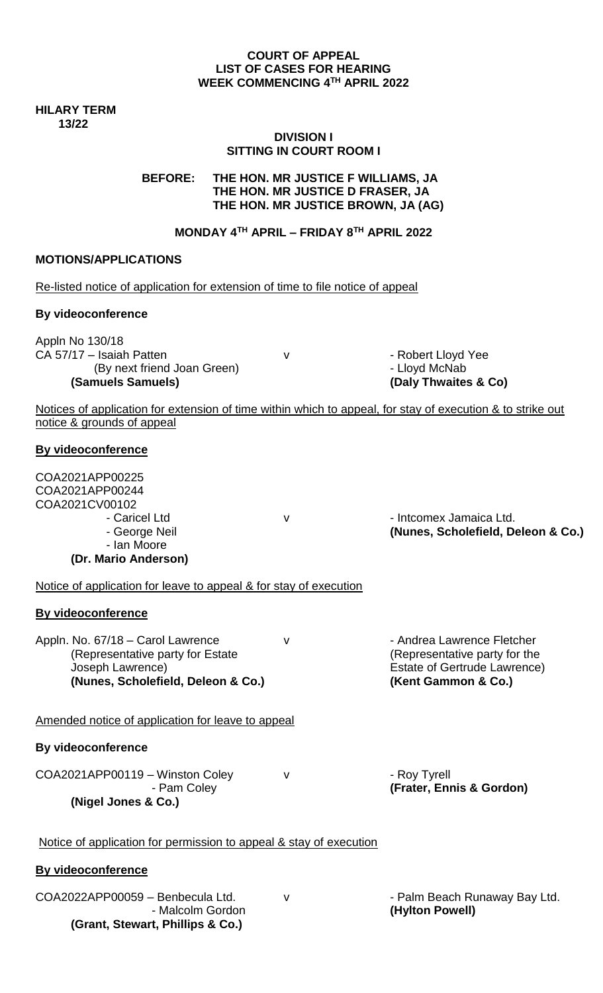#### **COURT OF APPEAL LIST OF CASES FOR HEARING WEEK COMMENCING 4 TH APRIL 2022**

**HILARY TERM 13/22**

# **DIVISION I SITTING IN COURT ROOM I**

**BEFORE: THE HON. MR JUSTICE F WILLIAMS, JA THE HON. MR JUSTICE D FRASER, JA THE HON. MR JUSTICE BROWN, JA (AG)**

# **MONDAY 4TH APRIL – FRIDAY 8TH APRIL 2022**

#### **MOTIONS/APPLICATIONS**

Re-listed notice of application for extension of time to file notice of appeal

#### **By videoconference**

Appln No 130/18 CA 57/17 – Isaiah Patten v v Frankrijke Robert Lloyd Yee (By next friend Joan Green)  $\qquad \qquad$  - Lloyd McNab **(Samuels Samuels) (Daly Thwaites & Co)**

Notices of application for extension of time within which to appeal, for stay of execution & to strike out notice & grounds of appeal

#### **By videoconference**

| COA2021APP00225<br>COA2021APP00244 |   |                                    |
|------------------------------------|---|------------------------------------|
| COA2021CV00102                     |   |                                    |
| - Caricel Ltd                      | v | - Intcomex Jamaica Ltd.            |
| - George Neil                      |   | (Nunes, Scholefield, Deleon & Co.) |
| - Ian Moore                        |   |                                    |
| (Dr. Mario Anderson)               |   |                                    |

Notice of application for leave to appeal & for stay of execution

# **By videoconference**

Appln. No. 67/18 – Carol Lawrence v v - Andrea Lawrence Fletcher (Representative party for Estate (Representative party for the Joseph Lawrence) **Estate of Gertrude Lawrence**) **(Nunes, Scholefield, Deleon & Co.) (Kent Gammon & Co.)**

Amended notice of application for leave to appeal

# **By videoconference**

COA2021APP00119 – Winston Coley v contract the Roy Tyrell **(Nigel Jones & Co.)**

- Pam Coley **(Frater, Ennis & Gordon)**

#### Notice of application for permission to appeal & stay of execution

#### **By videoconference**

COA2022APP00059 - Benbecula Ltd. v v · · · · · · · · · · · Palm Beach Runaway Bay Ltd. - Malcolm Gordon **(Hylton Powell) (Grant, Stewart, Phillips & Co.)**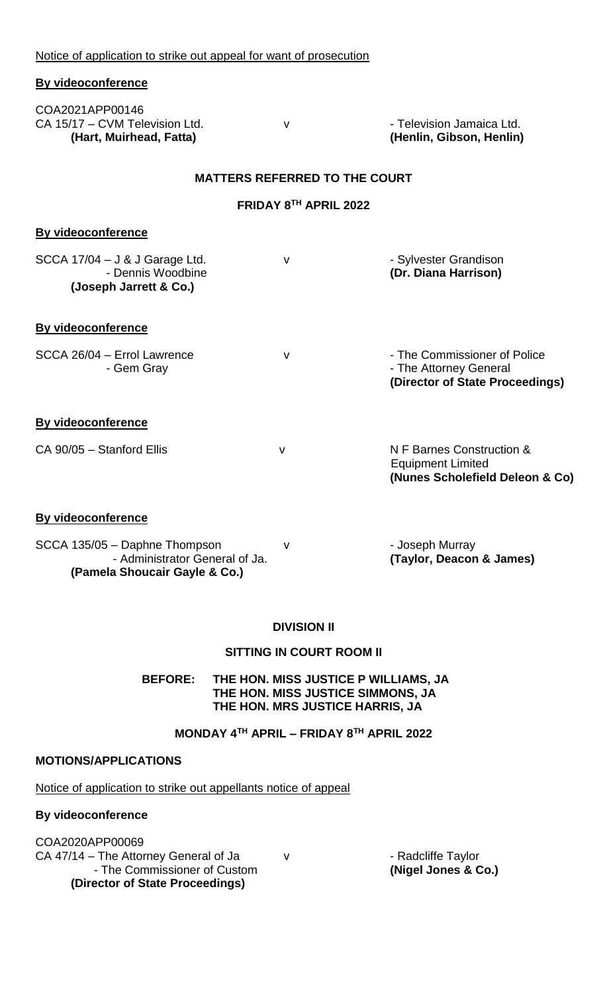Notice of application to strike out appeal for want of prosecution

| By videoconference                                                                               |   |                                                                                           |  |  |  |  |
|--------------------------------------------------------------------------------------------------|---|-------------------------------------------------------------------------------------------|--|--|--|--|
| COA2021APP00146<br>CA 15/17 - CVM Television Ltd.<br>(Hart, Muirhead, Fatta)                     | v | - Television Jamaica Ltd.<br>(Henlin, Gibson, Henlin)                                     |  |  |  |  |
| <b>MATTERS REFERRED TO THE COURT</b>                                                             |   |                                                                                           |  |  |  |  |
| FRIDAY 8TH APRIL 2022                                                                            |   |                                                                                           |  |  |  |  |
| <b>By videoconference</b>                                                                        |   |                                                                                           |  |  |  |  |
| $SCCA$ 17/04 – J & J Garage Ltd.<br>- Dennis Woodbine<br>(Joseph Jarrett & Co.)                  | v | - Sylvester Grandison<br>(Dr. Diana Harrison)                                             |  |  |  |  |
| <b>By videoconference</b>                                                                        |   |                                                                                           |  |  |  |  |
| SCCA 26/04 - Errol Lawrence<br>- Gem Gray                                                        | v | - The Commissioner of Police<br>- The Attorney General<br>(Director of State Proceedings) |  |  |  |  |
| <b>By videoconference</b>                                                                        |   |                                                                                           |  |  |  |  |
| CA 90/05 - Stanford Ellis                                                                        | V | N F Barnes Construction &<br><b>Equipment Limited</b><br>(Nunes Scholefield Deleon & Co)  |  |  |  |  |
| <b>By videoconference</b>                                                                        |   |                                                                                           |  |  |  |  |
| SCCA 135/05 - Daphne Thompson<br>- Administrator General of Ja.<br>(Pamela Shoucair Gayle & Co.) | v | - Joseph Murray<br>(Taylor, Deacon & James)                                               |  |  |  |  |

# **DIVISION II**

# **SITTING IN COURT ROOM II**

**BEFORE: THE HON. MISS JUSTICE P WILLIAMS, JA THE HON. MISS JUSTICE SIMMONS, JA THE HON. MRS JUSTICE HARRIS, JA**

# **MONDAY 4TH APRIL – FRIDAY 8TH APRIL 2022**

# **MOTIONS/APPLICATIONS**

Notice of application to strike out appellants notice of appeal

# **By videoconference**

COA2020APP00069 CA 47/14 - The Attorney General of Ja v Fand CA 47/14 - The Attorney General of Ja v Francesco V Francesco CA - The Commissioner of Custom **(Nigel Jones & Co.) (Director of State Proceedings)**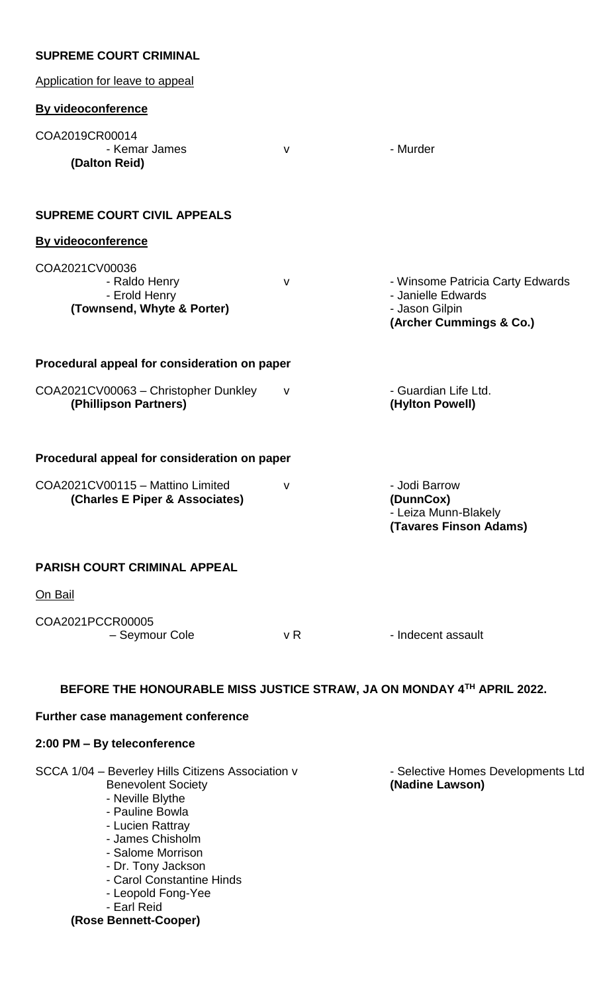| <b>SUPREME COURT CRIMINAL</b>                                                                                                                                                                                                         |              |                                                                                                     |
|---------------------------------------------------------------------------------------------------------------------------------------------------------------------------------------------------------------------------------------|--------------|-----------------------------------------------------------------------------------------------------|
| Application for leave to appeal                                                                                                                                                                                                       |              |                                                                                                     |
| <b>By videoconference</b>                                                                                                                                                                                                             |              |                                                                                                     |
| COA2019CR00014<br>- Kemar James<br>(Dalton Reid)                                                                                                                                                                                      | $\mathsf{V}$ | - Murder                                                                                            |
| <b>SUPREME COURT CIVIL APPEALS</b>                                                                                                                                                                                                    |              |                                                                                                     |
| <b>By videoconference</b>                                                                                                                                                                                                             |              |                                                                                                     |
| COA2021CV00036<br>- Raldo Henry<br>- Erold Henry<br>(Townsend, Whyte & Porter)                                                                                                                                                        | $\mathsf{V}$ | - Winsome Patricia Carty Edwards<br>- Janielle Edwards<br>- Jason Gilpin<br>(Archer Cummings & Co.) |
| Procedural appeal for consideration on paper                                                                                                                                                                                          |              |                                                                                                     |
| COA2021CV00063 - Christopher Dunkley<br>(Phillipson Partners)                                                                                                                                                                         | $\mathsf{V}$ | - Guardian Life Ltd.<br>(Hylton Powell)                                                             |
| Procedural appeal for consideration on paper                                                                                                                                                                                          |              |                                                                                                     |
| COA2021CV00115 - Mattino Limited<br>(Charles E Piper & Associates)                                                                                                                                                                    | ۷            | - Jodi Barrow<br>(DunnCox)<br>- Leiza Munn-Blakely<br>(Tavares Finson Adams)                        |
| <b>PARISH COURT CRIMINAL APPEAL</b>                                                                                                                                                                                                   |              |                                                                                                     |
| On Bail                                                                                                                                                                                                                               |              |                                                                                                     |
| COA2021PCCR00005<br>- Seymour Cole                                                                                                                                                                                                    | v R          | - Indecent assault                                                                                  |
|                                                                                                                                                                                                                                       |              | BEFORE THE HONOURABLE MISS JUSTICE STRAW, JA ON MONDAY 4TH APRIL 2022.                              |
| Further case management conference                                                                                                                                                                                                    |              |                                                                                                     |
| 2:00 PM - By teleconference                                                                                                                                                                                                           |              |                                                                                                     |
| SCCA 1/04 - Beverley Hills Citizens Association v<br><b>Benevolent Society</b><br>- Neville Blythe<br>- Pauline Bowla<br>- Lucien Rattray<br>- James Chisholm<br>- Salome Morrison<br>- Dr. Tony Jackson<br>- Carol Constantine Hinds |              | - Selective Homes Developments Ltd<br>(Nadine Lawson)                                               |

- Leopold Fong-Yee

- Earl Reid **(Rose Bennett-Cooper)**